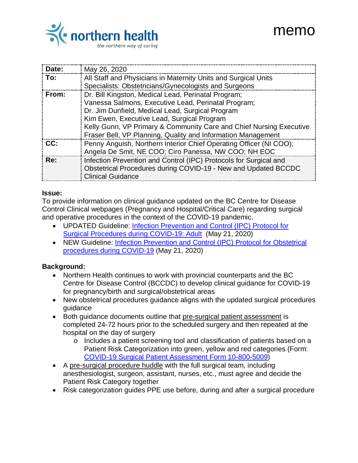

# memo

| Date: | May 26, 2020                                                        |
|-------|---------------------------------------------------------------------|
| To:   | All Staff and Physicians in Maternity Units and Surgical Units      |
|       | Specialists: Obstetricians/Gynecologists and Surgeons               |
| From: | Dr. Bill Kingston, Medical Lead, Perinatal Program;                 |
|       | Vanessa Salmons, Executive Lead, Perinatal Program;                 |
|       | Dr. Jim Dunfield, Medical Lead, Surgical Program                    |
|       | Kim Ewen, Executive Lead, Surgical Program                          |
|       | Kelly Gunn, VP Primary & Community Care and Chief Nursing Executive |
|       | Fraser Bell, VP Planning, Quality and Information Management        |
| CC:   | Penny Anguish, Northern Interior Chief Operating Officer (NI COO);  |
|       | Angela De Smit, NE COO; Ciro Panessa, NW COO; NH EOC                |
| Re:   | Infection Prevention and Control (IPC) Protocols for Surgical and   |
|       | Obstetrical Procedures during COVID-19 - New and Updated BCCDC      |
|       | <b>Clinical Guidance</b>                                            |
|       |                                                                     |

#### **Issue:**

To provide information on clinical guidance updated on the BC Centre for Disease Control Clinical webpages (Pregnancy and Hospital/Critical Care) regarding surgical and operative procedures in the context of the COVID-19 pandemic.

- UPDATED Guideline: [Infection Prevention and Control](http://www.bccdc.ca/Health-Professionals-Site/Documents/COVID19_IPCProtocolSurgicalProceduresAdult.pdf) (IPC) Protocol for [Surgical Procedures during COVID-19: Adult](http://www.bccdc.ca/Health-Professionals-Site/Documents/COVID19_IPCProtocolSurgicalProceduresAdult.pdf) (May 21, 2020)
- NEW Guideline: [Infection Prevention and Control \(IPC\) Protocol for Obstetrical](http://www.bccdc.ca/Health-Professionals-Site/Documents/COVID19_IPCProtocolSurgicalProceduresObstetrical.pdf)  [procedures during COVID-19](http://www.bccdc.ca/Health-Professionals-Site/Documents/COVID19_IPCProtocolSurgicalProceduresObstetrical.pdf) (May 21, 2020)

#### **Background:**

- Northern Health continues to work with provincial counterparts and the BC Centre for Disease Control (BCCDC) to develop clinical guidance for COVID-19 for pregnancy/birth and surgical/obstetrical areas
- New obstetrical procedures guidance aligns with the updated surgical procedures guidance
- Both guidance documents outline that pre-surgical patient assessment is completed 24-72 hours prior to the scheduled surgery and then repeated at the hospital on the day of surgery
	- o Includes a patient screening tool and classification of patients based on a Patient Risk Categorization into green, yellow and red categories (Form: [COVID-19 Surgical Patient Assessment Form 10-800-5009\)](http://docushare.northernhealth.ca/docushare/dsweb/Get/Document-350033/10-800-5009%20COVID-19%20Surgical%20Patient%20Assessment%20Form.pdf)
- A pre-surgical procedure huddle with the full surgical team, including anesthesiologist, surgeon, assistant, nurses, etc., must agree and decide the Patient Risk Category together
- Risk categorization guides PPE use before, during and after a surgical procedure